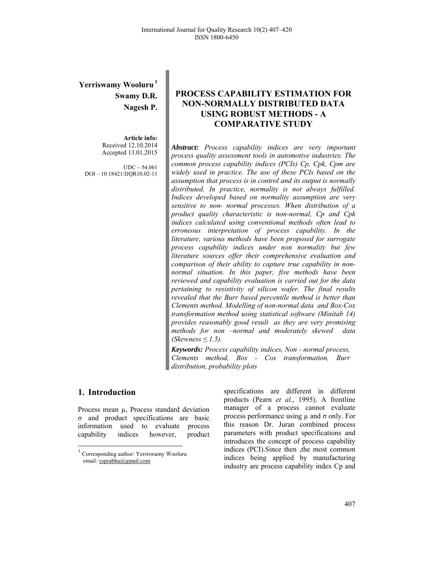# **Yerriswamy Wooluru 1 Swamy D.R. Nagesh P.**

**Article info:**  Received 12.10.2014 Accepted 13.01.2015

 $UDC - 54.061$ DOI – 10.18421/IJQR10.02-11

# **PROCESS CAPABILITY ESTIMATION FOR NON-NORMALLY DISTRIBUTED DATA USING ROBUST METHODS - A COMPARATIVE STUDY**

*Abstract: Process capability indices are very important process quality assessment tools in automotive industries. The common process capability indices (PCIs) Cp, Cpk, Cpm are widely used in practice. The use of these PCIs based on the assumption that process is in control and its output is normally distributed. In practice, normality is not always fulfilled. Indices developed based on normality assumption are very sensitive to non- normal processes. When distribution of a product quality characteristic is non-normal, Cp and Cpk indices calculated using conventional methods often lead to erroneous interpretation of process capability. In the literature, various methods have been proposed for surrogate process capability indices under non normality but few literature sources offer their comprehensive evaluation and comparison of their ability to capture true capability in nonnormal situation. In this paper, five methods have been reviewed and capability evaluation is carried out for the data pertaining to resistivity of silicon wafer. The final results revealed that the Burr based percentile method is better than Clements method. Modelling of non-normal data and Box-Cox transformation method using statistical software (Minitab 14) provides reasonably good result as they are very promising methods for non –normal and moderately skewed data (Skewness ≤ 1.5).*

*Keywords: Process capability indices, Non - normal process, Clements method, Box - Cox transformation, Burr distribution, probability plots*

# **1.** Introduction

1

Process mean  $\mu$ , Process standard deviation σ and product specifications are basic information used to evaluate process capability indices however, product specifications are different in different products (Pearn *et al.*, 1995). A frontline manager of a process cannot evaluate process performance using µ and σ only. For this reason Dr. Juran combined process parameters with product specifications and introduces the concept of process capability indices (PCI).Since then ,the most common indices being applied by manufacturing industry are process capability index Cp and

<sup>1</sup> Corresponding author: Yerriswamy Wooluru email: ysprabhu@gmail.com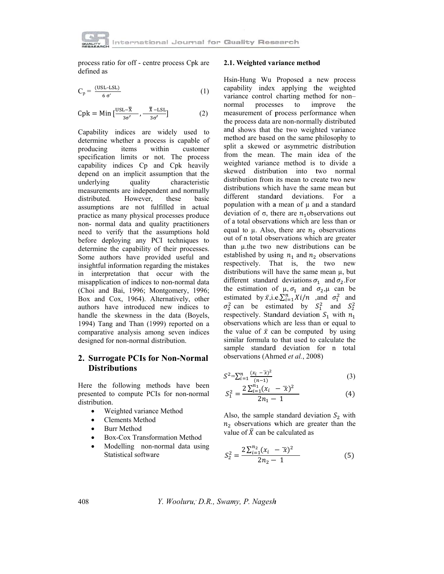

process ratio for off - centre process Cpk are defined as

$$
C_p = \frac{(USL-LSL)}{6 \sigma'} \tag{1}
$$

$$
Cpk = Min \left[ \frac{USL - \overline{X}}{3\sigma'} , -\frac{\overline{X} - LSL}{3\sigma'} \right]
$$
 (2)

Capability indices are widely used to determine whether a process is capable of producing items within customer specification limits or not. The process capability indices Cp and Cpk heavily depend on an implicit assumption that the underlying quality characteristic measurements are independent and normally distributed. However, these basic assumptions are not fulfilled in actual practice as many physical processes produce non- normal data and quality practitioners need to verify that the assumptions hold before deploying any PCI techniques to determine the capability of their processes. Some authors have provided useful and insightful information regarding the mistakes in interpretation that occur with the misapplication of indices to non-normal data (Choi and Bai, 1996; Montgomery, 1996; Box and Cox, 1964). Alternatively, other authors have introduced new indices to handle the skewness in the data (Boyels, 1994) Tang and Than (1999) reported on a comparative analysis among seven indices designed for non-normal distribution.

# 2. Surrogate PCIs for Non-Normal **Distributions**

Here the following methods have been presented to compute PCIs for non-normal distribution.

- Weighted variance Method  $\bullet$
- **Clements Method**  $\bullet$
- **Burr Method**
- Box-Cox Transformation Method  $\blacksquare$
- Modelling non-normal data using  $\bullet$ Statistical software

#### 2.1. Weighted variance method

Hsin-Hung Wu Proposed a new process capability index applying the weighted variance control charting method for nonprocesses to improve normal the measurement of process performance when the process data are non-normally distributed and shows that the two weighted variance method are based on the same philosophy to split a skewed or asymmetric distribution from the mean. The main idea of the weighted variance method is to divide a skewed distribution into two normal distribution from its mean to create two new distributions which have the same mean but different standard deviations. For  $\mathbf{a}$ population with a mean of  $\mu$  and a standard deviation of  $\sigma$ , there are  $n_1$  observations out of a total observations which are less than or equal to  $\mu$ . Also, there are  $n_2$  observations out of n total observations which are greater than u.the two new distributions can be established by using  $n_1$  and  $n_2$  observations respectively. That is, the two new distributions will have the same mean  $\mu$ , but different standard deviations  $\sigma_1$  and  $\sigma_2$ . For the estimation of  $\mu$ ,  $\sigma_1$  and  $\sigma_2$ ,  $\mu$  can be estimated by  $\bar{x}$ , i.e.  $\sum_{i=1}^{n} X_i/n$  , and  $\sigma_1^2$  and  $\sigma_2^2$  can be estimated by  $S_1^2$  and  $S_2^2$ respectively. Standard deviation  $S_1$  with  $n_1$ observations which are less than or equal to the value of  $\bar{x}$  can be computed by using similar formula to that used to calculate the sample standard deviation for n total observations (Ahmed et al., 2008)

$$
S^{2} = \sum_{i=1}^{n} \frac{(x_i - \bar{x})^2}{(n-1)}
$$
 (3)

$$
S_1^2 = \frac{2\sum_{i=1}^{n_1} (x_i - \overline{x})^2}{2n_1 - 1} \tag{4}
$$

Also, the sample standard deviation  $S_2$  with  $n_2$  observations which are greater than the value of  $\bar{X}$  can be calculated as

$$
S_2^2 = \frac{2\sum_{i=1}^{n_2} (x_i - \overline{x})^2}{2n_2 - 1}
$$
 (5)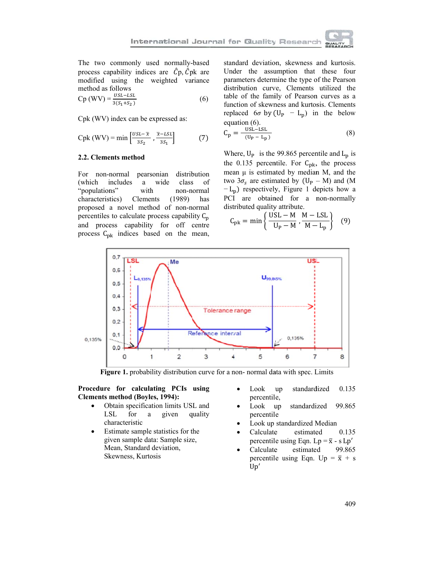

The two commonly used normally-based process capability indices are  $\hat{C}p$ ,  $\hat{C}pk$  are modified using the weighted variance method as follows

$$
Cp (WV) = \frac{USL - LSL}{3(S_1 + S_2)}
$$
 (6)

Cpk (WV) index can be expressed as:

$$
Cpk (WV) = min \left[ \frac{USL - \bar{x}}{3s_2}, \frac{\bar{x} - LSL}{3s_1} \right]
$$
 (7)

#### 2.2. Clements method

For non-normal pearsonian distribution class of (which includes a wide "populations" with non-normal  $(1989)$ characteristics) Clements has proposed a novel method of non-normal percentiles to calculate process capability  $C_p$ and process capability for off centre process  $C_{\rm pk}$  indices based on the mean,

standard deviation, skewness and kurtosis. Under the assumption that these four parameters determine the type of the Pearson distribution curve, Clements utilized the table of the family of Pearson curves as a function of skewness and kurtosis. Clements replaced  $6\sigma$  by  $(U_P - L_p)$  in the below equation  $(6)$ .

$$
C_p = \frac{\text{USL-LSL}}{(U_P - L_p)}\tag{8}
$$

Where,  $U_P$  is the 99.865 percentile and  $L_p$  is the 0.135 percentile. For  $C_{\rm pk}$ , the process mean  $\mu$  is estimated by median M, and the two  $3\sigma_s$  are estimated by  $(U_P - M)$  and  $(M$  $-L_p$ ) respectively, Figure 1 depicts how a PCI are obtained for a non-normally distributed quality attribute.

$$
C_{\rm pk} = \min\left\{\frac{\text{USL} - M}{U_{\rm P} - M}, \frac{M - \text{LSL}}{M - L_{\rm p}}\right\} \quad (9)
$$



Figure 1. probability distribution curve for a non-normal data with spec. Limits

## Procedure for calculating PCIs using **Clements method (Boyles, 1994):**

- Obtain specification limits USL and  $\bullet$ **LSL** for  $\rm{a}$ given quality characteristic
- Estimate sample statistics for the  $\bullet$ given sample data: Sample size, Mean, Standard deviation, Skewness, Kurtosis
- standardized 0.135 Look up percentile,
- 99.865 Look up standardized percentile
- Look up standardized Median
- Calculate estimated 0.135 percentile using Eqn. Lp =  $\bar{x}$  - s Lp'
- Calculate estimated 99.865 percentile using Eqn. Up =  $\bar{x}$  + s  $Up'$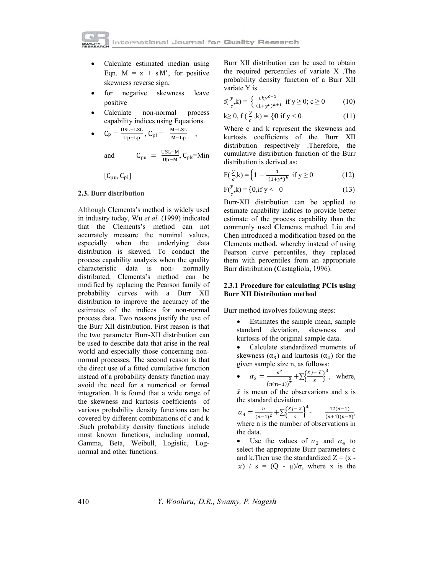- Calculate estimated median using Eqn.  $M = \bar{x} + s M'$ , for positive skewness reverse sign,
- for negative skewness leave  $\bullet$ positive
- Calculate non-normal process capability indices using Equations.
- $C_P = \frac{USL-LSL}{Up-Lp}$ ,  $C_{pl} = \frac{M-LSL}{M-Lp}$

 $C_{\text{pu}} = \frac{\text{USL}-\text{M}}{\text{Up}-\text{M}}, C_{\text{pk}} = \text{Min}$ and

 $[C_{\text{bu}}, C_{\text{pl}}]$ 

#### 2.3. Burr distribution

Although Clements's method is widely used in industry today, Wu et al. (1999) indicated that the Clements's method can not accurately measure the nominal values, especially when the underlying data distribution is skewed. To conduct the process capability analysis when the quality characteristic data is non- normally distributed, Clements's method can be modified by replacing the Pearson family of probability curves with a Burr XII distribution to improve the accuracy of the estimates of the indices for non-normal process data. Two reasons justify the use of the Burr XII distribution. First reason is that the two parameter Burr-XII distribution can be used to describe data that arise in the real world and especially those concerning nonnormal processes. The second reason is that the direct use of a fitted cumulative function instead of a probability density function may avoid the need for a numerical or formal integration. It is found that a wide range of the skewness and kurtosis coefficients of various probability density functions can be covered by different combinations of c and k .Such probability density functions include most known functions, including normal, Gamma, Beta, Weibull, Logistic, Lognormal and other functions.

Burr XII distribution can be used to obtain the required percentiles of variate X. The probability density function of a Burr XII variate Y is

$$
f(\frac{y}{c},k) = \begin{cases} \frac{cky^{c-1}}{(1+y^c)^{k+1}} & \text{if } y \ge 0; c \ge 0 \end{cases}
$$
 (10)

$$
k \ge 0, \ f\left(\frac{y}{c}, k\right) = \{0 \text{ if } y < 0 \tag{11}
$$

Where c and k represent the skewness and kurtosis coefficients of the Burr XII distribution respectively .Therefore, the cumulative distribution function of the Burr distribution is derived as:

$$
F(\frac{y}{c}, k) = \left\{ 1 - \frac{1}{(1 + y^c)^k} \text{ if } y \ge 0 \right\}
$$
 (12)

$$
F(\frac{y}{c},k) = \{0, \text{if } y < 0 \tag{13}
$$

Burr-XII distribution can be applied to estimate capability indices to provide better estimate of the process capability than the commonly used Clements method. Liu and Chen introduced a modification based on the Clements method, whereby instead of using Pearson curve percentiles, they replaced them with percentiles from an appropriate Burr distribution (Castagliola, 1996).

### 2.3.1 Procedure for calculating PCIs using **Burr XII Distribution method**

Burr method involves following steps:

- $\bullet$ Estimates the sample mean, sample standard deviation, skewness and kurtosis of the original sample data.
- Calculate standardized moments of  $\bullet$ skewness  $(\alpha_3)$  and kurtosis  $(\alpha_4)$  for the given sample size n, as follows:

• 
$$
\alpha_3 = \frac{n^2}{(n(n-1))^{\frac{3}{2}}} + \sum {\frac{xj - \bar{x}}{s}}^3
$$
, where,

 $\bar{x}$  is mean of the observations and s is the standard deviation.

$$
\alpha_4 = \frac{n}{(n-1)^2} + \sum {\frac{xj - \bar{x}}{s}}^4 - \frac{12(n-1)}{(n+1)(n-3)},
$$
  
where n is the number of observations in

Use the values of  $\alpha_3$  and  $\alpha_4$  to  $\bullet$ select the appropriate Burr parameters c and k. Then use the standardized  $Z = (x \bar{x}$ ) / s = (Q -  $\mu$ )/ $\sigma$ , where x is the

the data.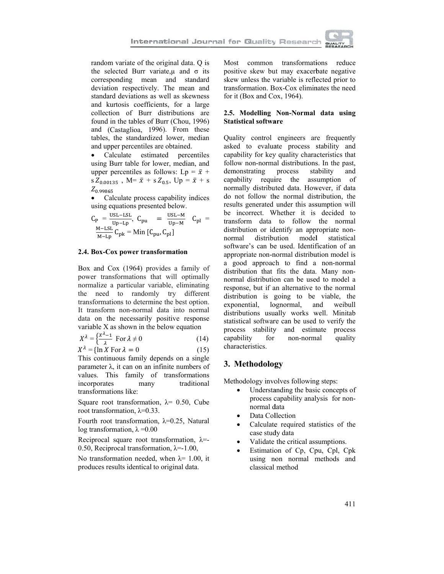

random variate of the original data. Q is the selected Burr variate,  $\mu$  and  $\sigma$  its corresponding mean and standard deviation respectively. The mean and standard deviations as well as skewness and kurtosis coefficients, for a large collection of Burr distributions are found in the tables of Burr (Chou, 1996) and (Castaglioa, 1996). From these tables, the standardized lower, median and upper percentiles are obtained.

Calculate estimated percentiles  $\bullet$ using Burr table for lower, median, and upper percentiles as follows: Lp =  $\bar{x}$  + s  $Z_{0.00135}$ , M=  $\bar{x}$  + s  $Z_{0.5}$ , Up =  $\bar{x}$  + s  $Z_{0.99865}$ 

Calculate process capability indices using equations presented below.

$$
C_{P} = \frac{USL - LSL}{Up - Lp}, \ C_{pu} = \frac{USL - M}{Up - M} \quad C_{pl} = \frac{M - LSL}{M - Lp} C_{pk} = Min \left[ C_{pu}, C_{pl} \right]
$$

#### 2.4. Box-Cox power transformation

Box and Cox (1964) provides a family of power transformations that will optimally normalize a particular variable, eliminating the need to randomly try different transformations to determine the best option. It transform non-normal data into normal data on the necessarily positive response variable X as shown in the below equation

$$
X^{\lambda} = \left\{ \frac{X^{\lambda} - 1}{\lambda} \text{ For } \lambda \neq 0 \right\} \tag{14}
$$

$$
X^{\lambda} = \{ \ln X \text{ For } \lambda = 0 \tag{15}
$$

This continuous family depends on a single parameter  $\lambda$ , it can on an infinite numbers of values. This family of transformations traditional incorporates many transformations like:

Square root transformation,  $\lambda$  = 0.50, Cube root transformation,  $\lambda$ =0.33.

Fourth root transformation,  $\lambda=0.25$ , Natural log transformation,  $\lambda = 0.00$ 

Reciprocal square root transformation,  $\lambda$ =-0.50, Reciprocal transformation,  $\lambda = 1.00$ ,

No transformation needed, when  $\lambda$ = 1.00, it produces results identical to original data.

Most common transformations reduce positive skew but may exacerbate negative skew unless the variable is reflected prior to transformation. Box-Cox eliminates the need for it (Box and Cox, 1964).

## 2.5. Modelling Non-Normal data using **Statistical software**

Quality control engineers are frequently asked to evaluate process stability and capability for key quality characteristics that follow non-normal distributions. In the past, demonstrating process stability and capability require the assumption of normally distributed data. However, if data do not follow the normal distribution, the results generated under this assumption will be incorrect. Whether it is decided to transform data to follow the normal distribution or identify an appropriate nonnormal distribution model statistical software's can be used. Identification of an appropriate non-normal distribution model is a good approach to find a non-normal distribution that fits the data. Many nonnormal distribution can be used to model a response, but if an alternative to the normal distribution is going to be viable, the exponential, lognormal, and weibull distributions usually works well. Minitab statistical software can be used to verify the process stability and estimate process capability for non-normal quality characteristics.

# 3. Methodology

Methodology involves following steps:

- Understanding the basic concepts of process capability analysis for nonnormal data
- Data Collection
- Calculate required statistics of the case study data
- Validate the critical assumptions.
- Estimation of Cp, Cpu, Cpl, Cpk using non normal methods and classical method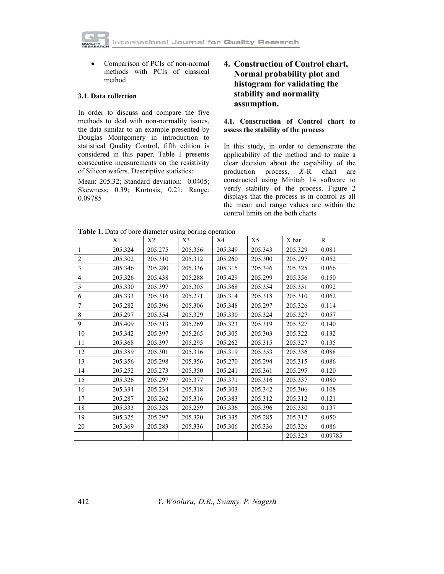Comparison of PCIs of non-normal  $\bullet$ methods with PCIs of classical method

## 3.1. Data collection

In order to discuss and compare the five methods to deal with non-normality issues, the data similar to an example presented by Douglas Montgomery in introduction to statistical Quality Control, fifth edition is considered in this paper. Table 1 presents consecutive measurements on the resistivity of Silicon wafers. Descriptive statistics:

Mean: 205.32; Standard deviation: 0.0405; Skewness; 0.39; Kurtosis; 0.21; Range: 0.09785

# 4. Construction of Control chart, Normal probability plot and histogram for validating the stability and normality assumption.

### 4.1. Construction of Control chart to assess the stability of the process

In this study, in order to demonstrate the applicability of the method and to make a clear decision about the capability of the production process,  $\bar{X}$ -R chart are constructed using Minitab 14 software to verify stability of the process. Figure 2 displays that the process is in control as all the mean and range values are within the control limits on the both charts

Table 1. Data of bore diameter using boring operation

| Tuble 1. Built of bore diameter ability corning operation |         |         |         |         |         |         |         |
|-----------------------------------------------------------|---------|---------|---------|---------|---------|---------|---------|
|                                                           | X1      | X2      | X3      | X4      | X5      | X bar   | R       |
| 1                                                         | 205.324 | 205.275 | 205.356 | 205.349 | 205.343 | 205.329 | 0.081   |
| $\overline{2}$                                            | 205.302 | 205.310 | 205.312 | 205.260 | 205.300 | 205.297 | 0.052   |
| 3                                                         | 205.346 | 205.280 | 205.336 | 205.315 | 205.346 | 205.325 | 0.066   |
| $\overline{4}$                                            | 205.326 | 205.438 | 205.288 | 205.429 | 205.299 | 205.356 | 0.150   |
| 5                                                         | 205.330 | 205.397 | 205.305 | 205.368 | 205.354 | 205.351 | 0.092   |
| 6                                                         | 205.333 | 205.316 | 205.271 | 205.314 | 205.318 | 205.310 | 0.062   |
| $\overline{7}$                                            | 205.282 | 205.396 | 205.306 | 205.348 | 205.297 | 205.326 | 0.114   |
| 8                                                         | 205.297 | 205.354 | 205.329 | 205.330 | 205.324 | 205.327 | 0.057   |
| 9                                                         | 205.409 | 205.313 | 205.269 | 205.323 | 205.319 | 205.327 | 0.140   |
| 10                                                        | 205.342 | 205.397 | 205.265 | 205.305 | 205.303 | 205.322 | 0.132   |
| 11                                                        | 205.368 | 205.397 | 205.295 | 205.262 | 205.315 | 205.327 | 0.135   |
| 12                                                        | 205.389 | 205.301 | 205.316 | 205.319 | 205.353 | 205.336 | 0.088   |
| 13                                                        | 205.356 | 205.298 | 205.356 | 205.270 | 205.294 | 205.315 | 0.086   |
| 14                                                        | 205.252 | 205.273 | 205.350 | 205.241 | 205.361 | 205.295 | 0.120   |
| 15                                                        | 205.326 | 205.297 | 205.377 | 205.371 | 205.316 | 205.337 | 0.080   |
| 16                                                        | 205.334 | 205.234 | 205.318 | 205.303 | 205.342 | 205.306 | 0.108   |
| 17                                                        | 205.287 | 205.262 | 205.316 | 205.383 | 205.312 | 205.312 | 0.121   |
| 18                                                        | 205.333 | 205.328 | 205.259 | 205.336 | 205.396 | 205.330 | 0.137   |
| 19                                                        | 205.325 | 205.297 | 205.320 | 205.335 | 205.285 | 205.312 | 0.050   |
| 20                                                        | 205.369 | 205.283 | 205.336 | 205.306 | 205.336 | 205.326 | 0.086   |
|                                                           |         |         |         |         |         | 205.323 | 0.09785 |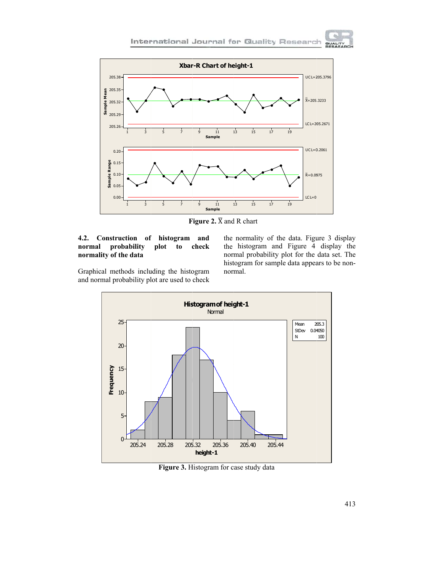

Figure 2.  $\overline{X}$  and R chart

#### 4.2. Construction of histogram and normal probability plot check to normality of the data

the normality of the data. Figure 3 display the histogram and Figure 4 display the normal probability plot for the data set. The histogram for sample data appears to be nonnormal.

**GUALIT**<br>RESAE

Graphical methods including the histogram and normal probability plot are used to check



Figure 3. Histogram for case study data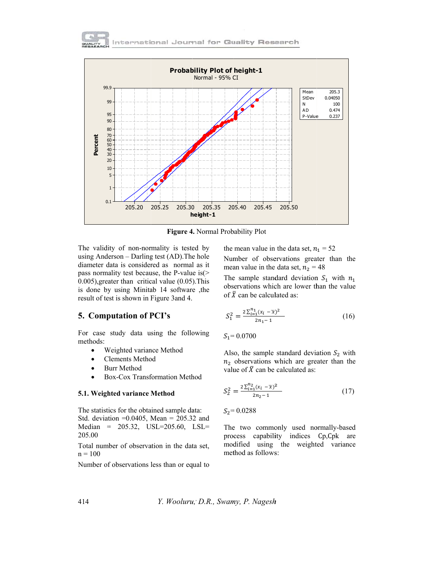



Figure 4. Normal Probability Plot

The validity of non-normality is tested by using Anderson – Darling test (AD). The hole diameter data is considered as normal as it pass normality test because, the P-value is  $($  $(0.005)$ , greater than critical value  $(0.05)$ . This is done by using Minitab 14 software ,the result of test is shown in Figure 3and 4.

### **5. Computation of PCI's**

For case study data using the following methods:

- Weighted variance Method  $\bullet$
- **Clements Method**  $\bullet$
- **Burr Method**  $\bullet$
- Box-Cox Transformation Method

#### 5.1. Weighted variance Method

The statistics for the obtained sample data: Std. deviation = $0.0405$ , Mean = 205.32 and Median = 205.32, USL=205.60, LSL= 205.00

Total number of observation in the data set,  $n = 100$ 

Number of observations less than or equal to

the mean value in the data set,  $n_1 = 52$ 

Number of observations greater than the mean value in the data set,  $n_2 = 48$ 

The sample standard deviation  $S_1$  with  $n_1$ observations which are lower than the value of  $\bar{X}$  can be calculated as:

$$
S_1^2 = \frac{2\sum_{i=1}^{n_1} (x_i - \overline{x})^2}{2n_1 - 1} \tag{16}
$$

 $S_1 = 0.0700$ 

Also, the sample standard deviation  $S_2$  with  $n_2$  observations which are greater than the value of  $\bar{X}$  can be calculated as:

$$
S_2^2 = \frac{2\sum_{i=1}^{n_2} (x_i - \overline{x})^2}{2n_2 - 1} \tag{17}
$$

 $S_2 = 0.0288$ 

The two commonly used normally-based process capability indices Cp, Cpk are modified using the weighted variance method as follows: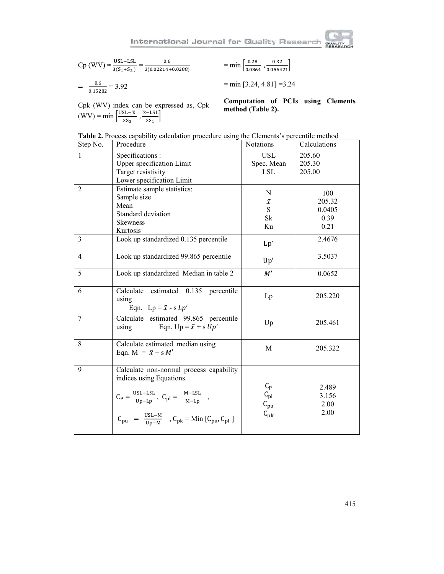

$$
Cp (WV) = \frac{\text{USL-LSL}}{3(S_1 + S_2)} = \frac{0.6}{3(0.02214 + 0.0288)}
$$

$$
= \frac{0.6}{0.15282} = 3.92
$$

Cpk (WV) index can be expressed as, Cpk<br>(WV) = min  $\left[\frac{USL-\bar{x}}{3S_2}, \frac{\bar{x}-LSL}{3S_1}\right]$ 

 $=$ min  $\left[\frac{0.28}{0.0864}, \frac{0.32}{0.066421}\right]$ 

 $= min [3.24, 4.81] = 3.24$ 

Computation of PCIs using Clements method (Table 2).

| Step No.       | Procedure                                                                                                                                                                                                                                    | Notations                                                                 | Calculations                            |
|----------------|----------------------------------------------------------------------------------------------------------------------------------------------------------------------------------------------------------------------------------------------|---------------------------------------------------------------------------|-----------------------------------------|
| 1              | Specifications:<br><b>Upper specification Limit</b><br>Target resistivity                                                                                                                                                                    | <b>USL</b><br>Spec. Mean<br><b>LSL</b>                                    | 205.60<br>205.30<br>205.00              |
|                | Lower specification Limit                                                                                                                                                                                                                    |                                                                           |                                         |
| 2              | Estimate sample statistics:<br>Sample size<br>Mean<br>Standard deviation<br>Skewness<br>Kurtosis                                                                                                                                             | N<br>$\bar{x}$<br>S<br>Sk<br>Ku                                           | 100<br>205.32<br>0.0405<br>0.39<br>0.21 |
| $\overline{3}$ | Look up standardized 0.135 percentile                                                                                                                                                                                                        | Lp'                                                                       | 2.4676                                  |
| $\overline{4}$ | Look up standardized 99.865 percentile                                                                                                                                                                                                       | Up'                                                                       | 3.5037                                  |
| 5              | Look up standardized Median in table 2                                                                                                                                                                                                       | M'                                                                        | 0.0652                                  |
| 6              | Calculate estimated 0.135 percentile<br>using<br>Eqn. Lp = $\bar{x}$ - s Lp'                                                                                                                                                                 | Lp                                                                        | 205.220                                 |
| 7              | Calculate estimated 99.865 percentile<br>Eqn. Up = $\bar{x}$ + s Up'<br>using                                                                                                                                                                | Up                                                                        | 205.461                                 |
| 8              | Calculate estimated median using<br>Eqn. M = $\bar{x}$ + s M'                                                                                                                                                                                | M                                                                         | 205.322                                 |
| 9              | Calculate non-normal process capability<br>indices using Equations.<br>$C_P = \frac{USL-LSL}{Up-Lp}$ , $C_{pl} = \frac{M-LSL}{M-Lp}$ ,<br>$C_{\text{pu}} = \frac{USL - M}{Up - M}$ , $C_{\text{pk}} = M$ in $[C_{\text{pu}}, C_{\text{pl}}]$ | $C_{\rm P}$<br>$C_{\rm pl}$<br>$\texttt{C}_{\texttt{pu}}$<br>$C_{\rm pk}$ | 2.489<br>3.156<br>2.00<br>2.00          |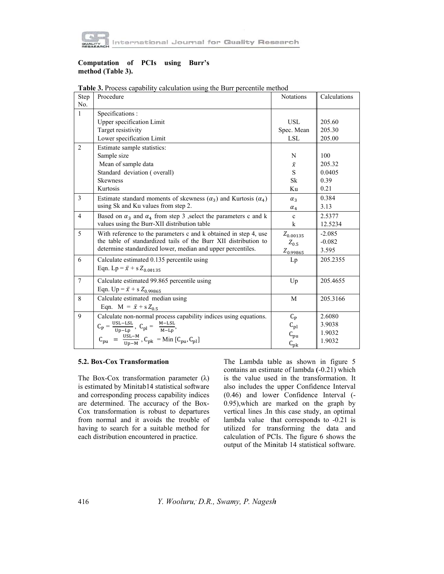

## Computation of PCIs using Burr's method (Table 3).

| Step           | Procedure                                                                                                    | Notations     | Calculations |
|----------------|--------------------------------------------------------------------------------------------------------------|---------------|--------------|
| No.            |                                                                                                              |               |              |
| $\mathbf{1}$   | Specifications :                                                                                             |               |              |
|                | Upper specification Limit                                                                                    | <b>USL</b>    | 205.60       |
|                | Target resistivity                                                                                           | Spec. Mean    | 205.30       |
|                | Lower specification Limit                                                                                    | LSL           | 205.00       |
| 2              | Estimate sample statistics:                                                                                  |               |              |
|                | Sample size                                                                                                  | N             | 100          |
|                | Mean of sample data                                                                                          | $\bar{x}$     | 205.32       |
|                | Standard deviation (overall)                                                                                 | S.            | 0.0405       |
|                | <b>Skewness</b>                                                                                              | Sk            | 0.39         |
|                | Kurtosis                                                                                                     | Ku            | 0.21         |
| 3              | Estimate standard moments of skewness $(\alpha_3)$ and Kurtosis $(\alpha_4)$                                 | $\alpha_3$    | 0.384        |
|                | using Sk and Ku values from step 2.                                                                          | $\alpha_4$    | 3.13         |
| $\overline{4}$ | Based on $\alpha_3$ and $\alpha_4$ from step 3 , select the parameters c and k                               | $\mathbf{c}$  | 2.5377       |
|                | values using the Burr-XII distribution table                                                                 | k             | 12.5234      |
| 5              | With reference to the parameters c and k obtained in step 4, use                                             | $Z_{0.00135}$ | $-2.085$     |
|                | the table of standardized tails of the Burr XII distribution to                                              | $Z_{0.5}$     | $-0.082$     |
|                | determine standardized lower, median and upper percentiles.                                                  | $Z_{0.99865}$ | 3.595        |
| 6              | Calculate estimated 0.135 percentile using                                                                   | Lp            | 205.2355     |
|                | Eqn. Lp = $\bar{x}$ + s $Z_{0.00135}$                                                                        |               |              |
| $\overline{7}$ | Calculate estimated 99.865 percentile using                                                                  | Up            | 205.4655     |
|                | Eqn. Up = $\bar{x}$ + s $Z_{0.99865}$                                                                        |               |              |
| 8              | Calculate estimated median using                                                                             | M             | 205.3166     |
|                | Eqn. M = $\bar{x}$ + s Z <sub>0.5</sub>                                                                      |               |              |
| 9              | Calculate non-normal process capability indices using equations.                                             | $C_{\rm P}$   | 2.6080       |
|                | $C_P = \frac{USL-LSL}{Up-Lp}$ , $C_{pl} = \frac{M-LSL}{M-Lp}$ ,                                              | $C_{\rm pl}$  | 3.9038       |
|                |                                                                                                              | $C_{\rm pu}$  | 1.9032       |
|                | $C_{\text{pu}} = \frac{USL-M}{U_{\text{D}}-M}$ , $C_{\text{pk}} = \text{Min} [C_{\text{pu}}, C_{\text{pl}}]$ | $C_{\rm pk}$  | 1.9032       |
|                |                                                                                                              |               |              |

Table 3. Process capability calculation using the Burr percentile method

#### 5.2. Box-Cox Transformation

The Box-Cox transformation parameter  $(\lambda)$ is estimated by Minitab14 statistical software and corresponding process capability indices are determined. The accuracy of the Box-Cox transformation is robust to departures from normal and it avoids the trouble of having to search for a suitable method for each distribution encountered in practice.

The Lambda table as shown in figure 5 contains an estimate of lambda (-0.21) which is the value used in the transformation. It also includes the upper Confidence Interval (0.46) and lower Confidence Interval (-0.95), which are marked on the graph by vertical lines .In this case study, an optimal lambda value that corresponds to -0.21 is utilized for transforming the data and calculation of PCIs. The figure 6 shows the output of the Minitab 14 statistical software.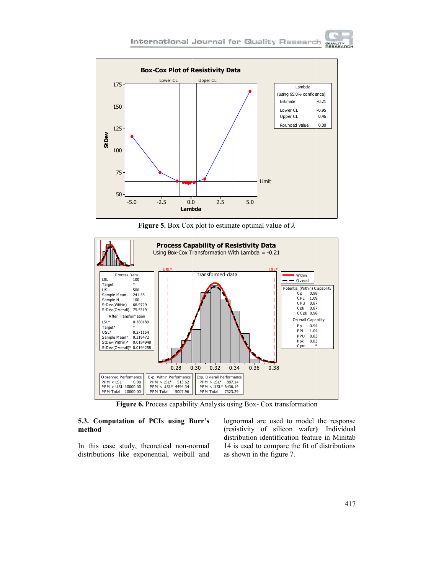**QUALIT** 



**Figure 5.** Box Cox plot to estimate optimal value of  $\lambda$ 



Figure 6. Process capability Analysis using Box- Cox transformation

### 5.3. Computation of PCIs using Burr's method

In this case study, theoretical non-normal distributions like exponential, weibull and lognormal are used to model the response (resistivity of silicon wafer) .Individual distribution identification feature in Minitab 14 is used to compare the fit of distributions as shown in the figure 7.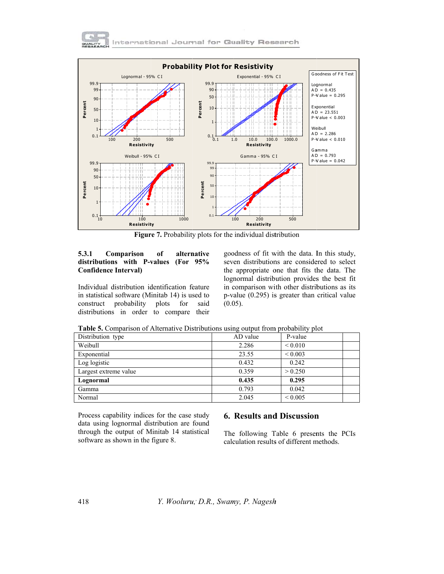



Figure 7. Probability plots for the individual distribution

#### 5.3.1 Comparison of alternative distributions with P-values (For 95% **Confidence Interval)**

Individual distribution identification feature in statistical software (Minitab 14) is used to construct probability plots for said distributions in order to compare their goodness of fit with the data. In this study, seven distributions are considered to select the appropriate one that fits the data. The lognormal distribution provides the best fit in comparison with other distributions as its  $p$ -value (0.295) is greater than critical value  $(0.05)$ .

| <b>rapic 3.</b> Comparison or riterman ve Distributions asing output from probability prot |              |  |  |  |  |
|--------------------------------------------------------------------------------------------|--------------|--|--|--|--|
| AD value                                                                                   | P-value      |  |  |  |  |
| 2.286                                                                                      | ${}_{0.010}$ |  |  |  |  |
| 23.55                                                                                      | ${}_{0.003}$ |  |  |  |  |
| 0.432                                                                                      | 0.242        |  |  |  |  |
| 0.359                                                                                      | > 0.250      |  |  |  |  |
| 0.435                                                                                      | 0.295        |  |  |  |  |
| 0.793                                                                                      | 0.042        |  |  |  |  |
| 2.045                                                                                      | ${}_{0.005}$ |  |  |  |  |
|                                                                                            |              |  |  |  |  |

**Table 5.** Comparison of Alternative Distributions using output from probability plot

Process capability indices for the case study data using lognormal distribution are found through the output of Minitab 14 statistical software as shown in the figure 8.

# **6. Results and Discussion**

The following Table 6 presents the PCIs calculation results of different methods.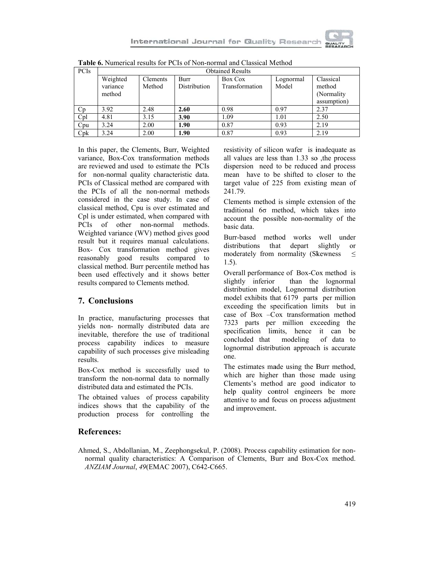

In this paper, the Clements, Burr, Weighted variance, Box-Cox transformation methods are reviewed and used to estimate the PCIs for non-normal quality characteristic data. PCIs of Classical method are compared with the PCIs of all the non-normal methods considered in the case study. In case of classical method, Cpu is over estimated and Cpl is under estimated, when compared with PCIs of other non-normal methods. Weighted variance (WV) method gives good result but it requires manual calculations. Box- Cox transformation method gives reasonably good results compared to classical method. Burr percentile method has been used effectively and it shows better results compared to Clements method.

# 7. Conclusions

In practice, manufacturing processes that yields non- normally distributed data are inevitable, therefore the use of traditional process capability indices to measure capability of such processes give misleading results.

Box-Cox method is successfully used to transform the non-normal data to normally distributed data and estimated the PCIs.

The obtained values of process capability indices shows that the capability of the production process for controlling the

resistivity of silicon wafer is inadequate as all values are less than 1.33 so , the process dispersion need to be reduced and process mean have to be shifted to closer to the target value of 225 from existing mean of 241.79.

Clements method is simple extension of the traditional 60 method, which takes into account the possible non-normality of the basic data.

Burr-based method works well under distributions that depart slightly  $\alpha$ <sup>r</sup> moderately from normality (Skewness  $\leq$  $1.5$ ).

Overall performance of Box-Cox method is slightly inferior than the lognormal distribution model, Lognormal distribution model exhibits that 6179 parts per million exceeding the specification limits but in case of Box -Cox transformation method 7323 parts per million exceeding the specification limits, hence it can be concluded that modeling of data to lognormal distribution approach is accurate one.

The estimates made using the Burr method, which are higher than those made using Clements's method are good indicator to help quality control engineers be more attentive to and focus on process adjustment and improvement.

# **References:**

Ahmed, S., Abdollanian, M., Zeephongsekul, P. (2008). Process capability estimation for nonnormal quality characteristics: A Comparison of Clements, Burr and Box-Cox method. ANZIAM Journal, 49(EMAC 2007), C642-C665.